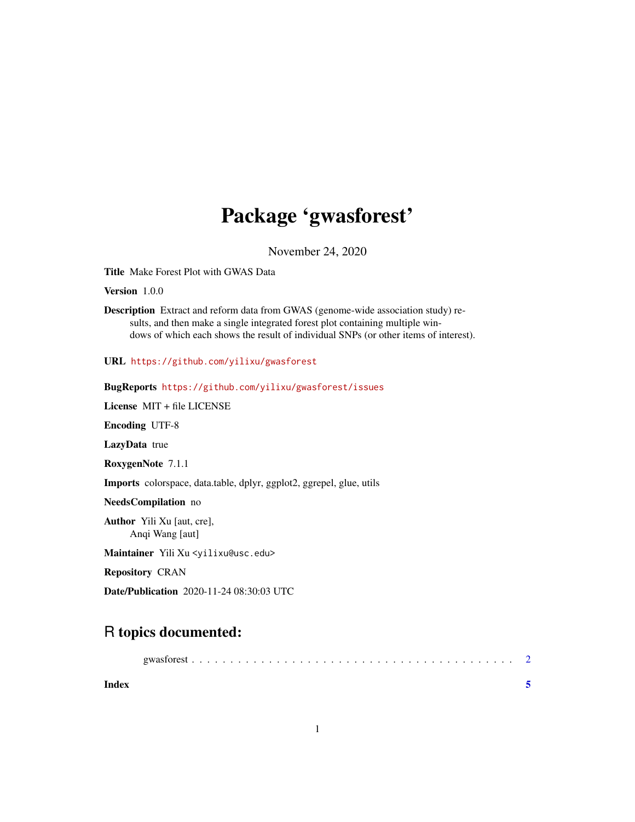## Package 'gwasforest'

November 24, 2020

Title Make Forest Plot with GWAS Data

Version 1.0.0

Description Extract and reform data from GWAS (genome-wide association study) results, and then make a single integrated forest plot containing multiple windows of which each shows the result of individual SNPs (or other items of interest).

URL <https://github.com/yilixu/gwasforest>

BugReports <https://github.com/yilixu/gwasforest/issues>

License MIT + file LICENSE

Encoding UTF-8

LazyData true

RoxygenNote 7.1.1

Imports colorspace, data.table, dplyr, ggplot2, ggrepel, glue, utils

NeedsCompilation no

Author Yili Xu [aut, cre], Anqi Wang [aut]

Maintainer Yili Xu <yilixu@usc.edu>

Repository CRAN

Date/Publication 2020-11-24 08:30:03 UTC

### R topics documented:

| Index |  |  |  |  |  |  |  |  |  |  |  |  |  |  |  |  |  |
|-------|--|--|--|--|--|--|--|--|--|--|--|--|--|--|--|--|--|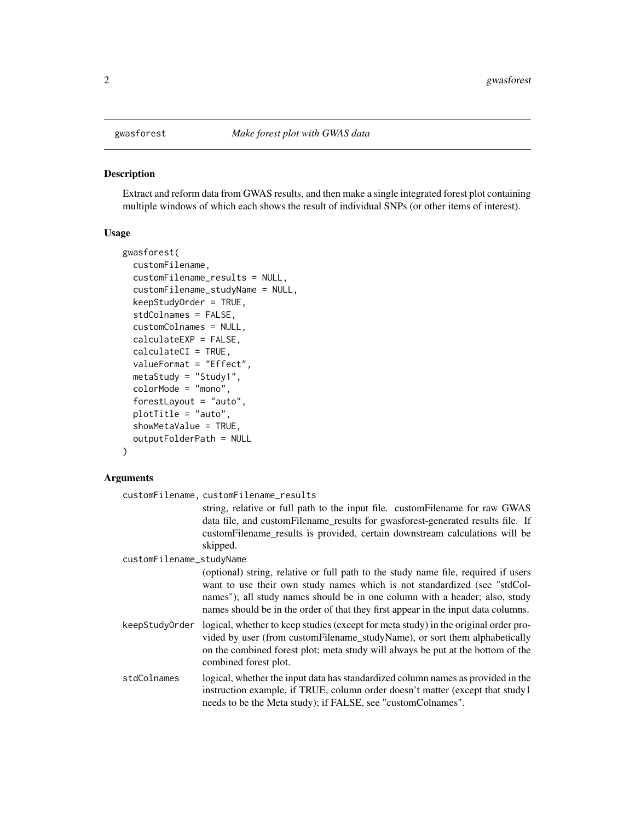<span id="page-1-0"></span>

#### Description

Extract and reform data from GWAS results, and then make a single integrated forest plot containing multiple windows of which each shows the result of individual SNPs (or other items of interest).

#### Usage

```
gwasforest(
  customFilename,
  customFilename_results = NULL,
  customFilename_studyName = NULL,
  keepStudyOrder = TRUE,
  stdColnames = FALSE,
  customColnames = NULL,
  calculateEXP = FALSE,
  calculateCI = TRUE,
  valueFormat = "Effect",
  metaStudy = "Study1",
  colorMode = "mono",
  forestLayout = "auto",
  plotTitle = "auto",
  showMetaValue = TRUE,
  outputFolderPath = NULL
```

```
)
```
#### Arguments

customFilename, customFilename\_results

string, relative or full path to the input file. customFilename for raw GWAS data file, and customFilename results for gwasforest-generated results file. If customFilename\_results is provided, certain downstream calculations will be skipped.

customFilename\_studyName

(optional) string, relative or full path to the study name file, required if users want to use their own study names which is not standardized (see "stdColnames"); all study names should be in one column with a header; also, study names should be in the order of that they first appear in the input data columns.

keepStudyOrder logical, whether to keep studies (except for meta study) in the original order provided by user (from customFilename\_studyName), or sort them alphabetically on the combined forest plot; meta study will always be put at the bottom of the combined forest plot.

stdColnames logical, whether the input data has standardized column names as provided in the instruction example, if TRUE, column order doesn't matter (except that study1 needs to be the Meta study); if FALSE, see "customColnames".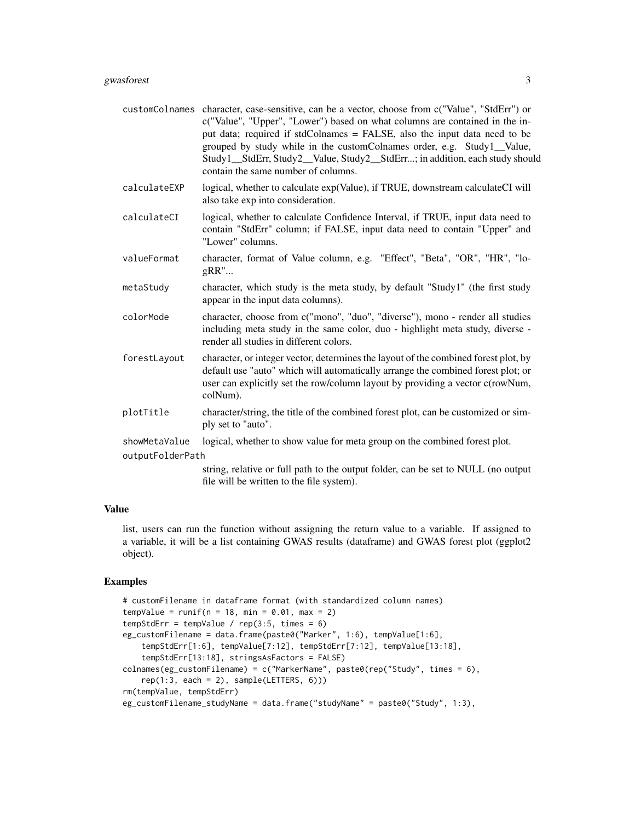- customColnames character, case-sensitive, can be a vector, choose from c("Value", "StdErr") or c("Value", "Upper", "Lower") based on what columns are contained in the input data; required if stdColnames = FALSE, also the input data need to be grouped by study while in the customColnames order, e.g. Study1\_\_Value, Study1 StdErr, Study2 Value, Study2 StdErr...; in addition, each study should contain the same number of columns.
- calculateEXP logical, whether to calculate exp(Value), if TRUE, downstream calculateCI will also take exp into consideration.
- calculateCI logical, whether to calculate Confidence Interval, if TRUE, input data need to contain "StdErr" column; if FALSE, input data need to contain "Upper" and "Lower" columns.
- valueFormat character, format of Value column, e.g. "Effect", "Beta", "OR", "HR", "logRR"...
- metaStudy character, which study is the meta study, by default "Study1" (the first study appear in the input data columns).
- colorMode character, choose from c("mono", "duo", "diverse"), mono render all studies including meta study in the same color, duo - highlight meta study, diverse render all studies in different colors.
- forestLayout character, or integer vector, determines the layout of the combined forest plot, by default use "auto" which will automatically arrange the combined forest plot; or user can explicitly set the row/column layout by providing a vector c(rowNum, colNum).
- plotTitle character/string, the title of the combined forest plot, can be customized or simply set to "auto".
- showMetaValue logical, whether to show value for meta group on the combined forest plot.

outputFolderPath

string, relative or full path to the output folder, can be set to NULL (no output file will be written to the file system).

#### Value

list, users can run the function without assigning the return value to a variable. If assigned to a variable, it will be a list containing GWAS results (dataframe) and GWAS forest plot (ggplot2 object).

#### Examples

```
# customFilename in dataframe format (with standardized column names)
tempValue = runif(n = 18, min = 0.01, max = 2)
tempStdErr = tempValue / rep(3:5, times = 6)eg_customFilename = data.frame(paste0("Marker", 1:6), tempValue[1:6],
   tempStdErr[1:6], tempValue[7:12], tempStdErr[7:12], tempValue[13:18],
    tempStdErr[13:18], stringsAsFactors = FALSE)
colnames(eg_customFilename) = c("MarkerName", paste0(rep("Study", times = 6),
   rep(1:3, each = 2), sample(LETTERS, 6))rm(tempValue, tempStdErr)
eg_customFilename_studyName = data.frame("studyName" = paste0("Study", 1:3),
```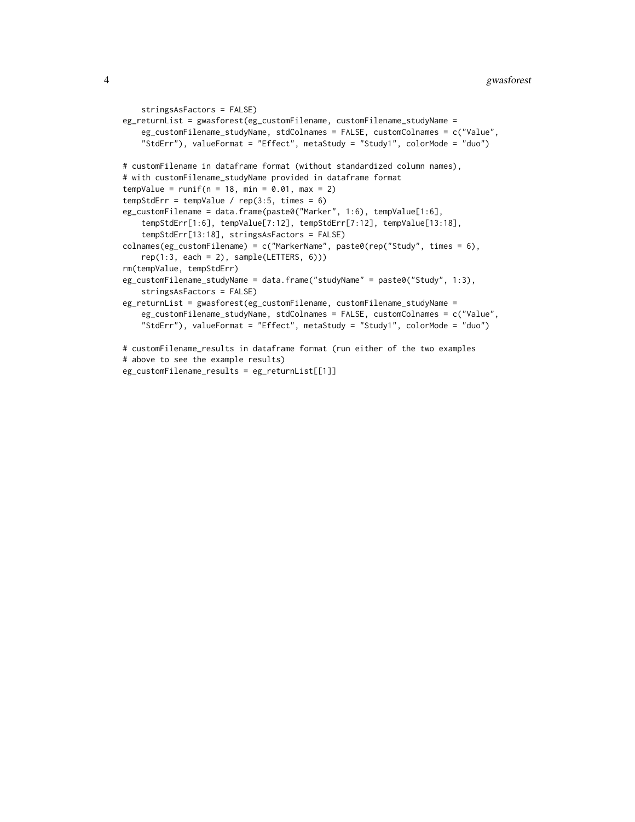```
stringsAsFactors = FALSE)
eg_returnList = gwasforest(eg_customFilename, customFilename_studyName =
    eg_customFilename_studyName, stdColnames = FALSE, customColnames = c("Value",
    "StdErr"), valueFormat = "Effect", metaStudy = "Study1", colorMode = "duo")
# customFilename in dataframe format (without standardized column names),
# with customFilename_studyName provided in dataframe format
tempValue = runif(n = 18, min = 0.01, max = 2)tempStdErr = tempValue / rep(3:5, times = 6)eg_customFilename = data.frame(paste0("Marker", 1:6), tempValue[1:6],
    tempStdErr[1:6], tempValue[7:12], tempStdErr[7:12], tempValue[13:18],
    tempStdErr[13:18], stringsAsFactors = FALSE)
colnames(eg_customFilename) = c("MarkerName", paste0(rep("Study", times = 6),
    rep(1:3, each = 2), sample(LETTERS, 6))rm(tempValue, tempStdErr)
eg_customFilename_studyName = data.frame("studyName" = paste0("Study", 1:3),
    stringsAsFactors = FALSE)
eg_returnList = gwasforest(eg_customFilename, customFilename_studyName =
    eg_customFilename_studyName, stdColnames = FALSE, customColnames = c("Value",
    "StdErr"), valueFormat = "Effect", metaStudy = "Study1", colorMode = "duo")
# customFilename_results in dataframe format (run either of the two examples
# above to see the example results)
```

```
eg_customFilename_results = eg_returnList[[1]]
```